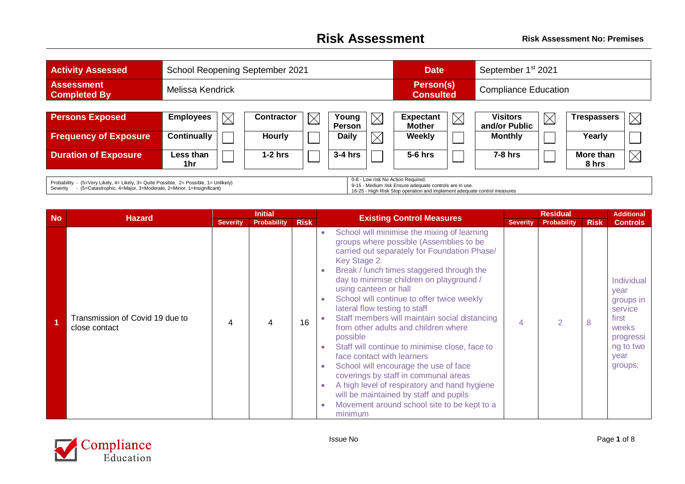## **Risk Assessment Risk Assessment No: Premises**

| <b>Activity Assessed</b>                                                                                                                                                                                                                                                                                                                            | School Reopening September 2021 |                   |          |                        |          | <b>Date</b>                                                  |             | September 1 <sup>st</sup> 2021   |             |                    |          |
|-----------------------------------------------------------------------------------------------------------------------------------------------------------------------------------------------------------------------------------------------------------------------------------------------------------------------------------------------------|---------------------------------|-------------------|----------|------------------------|----------|--------------------------------------------------------------|-------------|----------------------------------|-------------|--------------------|----------|
| <b>Assessment</b><br><b>Completed By</b>                                                                                                                                                                                                                                                                                                            | Melissa Kendrick                |                   |          |                        |          | Person(s)<br><b>Compliance Education</b><br><b>Consulted</b> |             |                                  |             |                    |          |
|                                                                                                                                                                                                                                                                                                                                                     |                                 |                   |          |                        |          |                                                              |             |                                  |             |                    |          |
| <b>Persons Exposed</b>                                                                                                                                                                                                                                                                                                                              | <b>Employees</b><br>$\boxtimes$ | <b>Contractor</b> | $\times$ | Young<br><b>Person</b> | $\times$ | <b>Expectant</b><br><b>Mother</b>                            | $\boxtimes$ | <b>Visitors</b><br>and/or Public | $\boxtimes$ | <b>Trespassers</b> | $\times$ |
| <b>Frequency of Exposure</b>                                                                                                                                                                                                                                                                                                                        | <b>Continually</b>              | <b>Hourly</b>     |          | <b>Daily</b>           |          | Weekly                                                       |             | <b>Monthly</b>                   |             | Yearly             |          |
| <b>Duration of Exposure</b>                                                                                                                                                                                                                                                                                                                         | Less than<br>1hr                | $1-2$ hrs         |          | $3-4$ hrs              |          | $5-6$ hrs                                                    |             | $7-8$ hrs                        |             | More than<br>8 hrs | $\times$ |
| 0-8 - Low risk No Action Required.<br>Probability - (5=Very Likely, 4= Likely, 3= Quite Possible, 2= Possible, 1= Unlikely)<br>9-15 - Medium risk Ensure adequate controls are in use.<br>- (5=Catastrophic, 4=Major, 3=Moderate, 2=Minor, 1=Insignificant)<br>Severity<br>16-25 - High Risk Stop operation and implement adequate control measures |                                 |                   |          |                        |          |                                                              |             |                                  |             |                    |          |

| <b>No</b> |                                                  |                 | <b>Initial</b>     |             |                                                                                                                                                                                                                                                                                                                                                                                                                                                                                                                                                                                                                                                                                                                                                                                                | <b>Residual</b> |               |             | <b>Additional</b>                                                                                         |
|-----------|--------------------------------------------------|-----------------|--------------------|-------------|------------------------------------------------------------------------------------------------------------------------------------------------------------------------------------------------------------------------------------------------------------------------------------------------------------------------------------------------------------------------------------------------------------------------------------------------------------------------------------------------------------------------------------------------------------------------------------------------------------------------------------------------------------------------------------------------------------------------------------------------------------------------------------------------|-----------------|---------------|-------------|-----------------------------------------------------------------------------------------------------------|
|           | <b>Hazard</b>                                    | <b>Severity</b> | <b>Probability</b> | <b>Risk</b> | <b>Existing Control Measures</b>                                                                                                                                                                                                                                                                                                                                                                                                                                                                                                                                                                                                                                                                                                                                                               | <b>Severity</b> | Probability   | <b>Risk</b> | <b>Controls</b>                                                                                           |
|           | Transmission of Covid 19 due to<br>close contact | Δ               |                    | 16          | School will minimise the mixing of learning<br>$\bullet$<br>groups where possible (Assemblies to be<br>carried out separately for Foundation Phase/<br>Key Stage 2.<br>Break / lunch times staggered through the<br>day to minimise children on playground /<br>using canteen or hall<br>School will continue to offer twice weekly<br>lateral flow testing to staff<br>Staff members will maintain social distancing<br>from other adults and children where<br>possible<br>Staff will continue to minimise close, face to<br>face contact with learners<br>School will encourage the use of face<br>coverings by staff in communal areas<br>A high level of respiratory and hand hygiene<br>will be maintained by staff and pupils<br>Movement around school site to be kept to a<br>minimum | Δ               | $\mathcal{P}$ | 8           | Individual<br>year<br>groups in<br>service<br>first<br>weeks<br>progressi<br>ng to two<br>year<br>groups; |

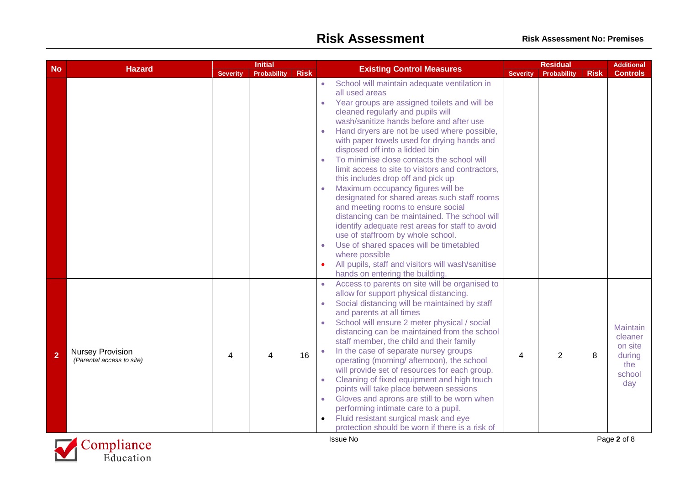|                |                                                      |                 | <b>Initial</b>     |             |                                                                                                                                                                                                                                                                                                                                                                                                                                                                                                                                                                                                                                                                                                                                                                                                                                                                                                                                                                                 |                 | <b>Residual</b> |             | <b>Additional</b>                                                |
|----------------|------------------------------------------------------|-----------------|--------------------|-------------|---------------------------------------------------------------------------------------------------------------------------------------------------------------------------------------------------------------------------------------------------------------------------------------------------------------------------------------------------------------------------------------------------------------------------------------------------------------------------------------------------------------------------------------------------------------------------------------------------------------------------------------------------------------------------------------------------------------------------------------------------------------------------------------------------------------------------------------------------------------------------------------------------------------------------------------------------------------------------------|-----------------|-----------------|-------------|------------------------------------------------------------------|
| <b>No</b>      | <b>Hazard</b>                                        | <b>Severity</b> | <b>Probability</b> | <b>Risk</b> | <b>Existing Control Measures</b>                                                                                                                                                                                                                                                                                                                                                                                                                                                                                                                                                                                                                                                                                                                                                                                                                                                                                                                                                | <b>Severity</b> | Probability     | <b>Risk</b> | <b>Controls</b>                                                  |
|                |                                                      |                 |                    |             | School will maintain adequate ventilation in<br>$\bullet$<br>all used areas<br>Year groups are assigned toilets and will be<br>$\bullet$<br>cleaned regularly and pupils will<br>wash/sanitize hands before and after use<br>Hand dryers are not be used where possible,<br>$\bullet$<br>with paper towels used for drying hands and<br>disposed off into a lidded bin<br>To minimise close contacts the school will<br>$\bullet$<br>limit access to site to visitors and contractors,<br>this includes drop off and pick up<br>Maximum occupancy figures will be<br>$\bullet$<br>designated for shared areas such staff rooms<br>and meeting rooms to ensure social<br>distancing can be maintained. The school will<br>identify adequate rest areas for staff to avoid<br>use of staffroom by whole school.<br>Use of shared spaces will be timetabled<br>$\bullet$<br>where possible<br>All pupils, staff and visitors will wash/sanitise<br>hands on entering the building. |                 |                 |             |                                                                  |
| $\overline{2}$ | <b>Nursey Provision</b><br>(Parental access to site) | 4               | Δ                  | 16          | Access to parents on site will be organised to<br>allow for support physical distancing.<br>Social distancing will be maintained by staff<br>$\bullet$<br>and parents at all times<br>School will ensure 2 meter physical / social<br>$\bullet$<br>distancing can be maintained from the school<br>staff member, the child and their family<br>In the case of separate nursey groups<br>operating (morning/ afternoon), the school<br>will provide set of resources for each group.<br>Cleaning of fixed equipment and high touch<br>$\bullet$<br>points will take place between sessions<br>Gloves and aprons are still to be worn when<br>$\bullet$<br>performing intimate care to a pupil.<br>Fluid resistant surgical mask and eye<br>protection should be worn if there is a risk of                                                                                                                                                                                       | 4               | $\overline{2}$  | 8           | Maintain<br>cleaner<br>on site<br>during<br>the<br>school<br>day |
|                | $\overline{\Omega}$ . 1:                             |                 |                    |             | <b>Issue No</b>                                                                                                                                                                                                                                                                                                                                                                                                                                                                                                                                                                                                                                                                                                                                                                                                                                                                                                                                                                 |                 |                 |             | Page 2 of 8                                                      |

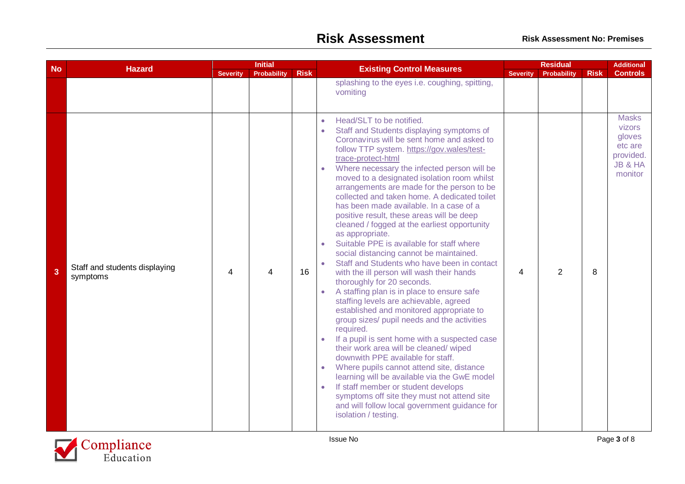| <b>No</b>      | <b>Hazard</b>                             |                          | <b>Initial</b>          |             | <b>Existing Control Measures</b>                                                                                                                                                                                                                                                                                                                                                                                                                                                                                                                                                                                                                                                                                                                                                                                                                                                                                                                                                                                                                                                                                                                                                                                                                                                                                                                                                                                                                                    |                 | <b>Residual</b> |             | <b>Additional</b>                                                                     |
|----------------|-------------------------------------------|--------------------------|-------------------------|-------------|---------------------------------------------------------------------------------------------------------------------------------------------------------------------------------------------------------------------------------------------------------------------------------------------------------------------------------------------------------------------------------------------------------------------------------------------------------------------------------------------------------------------------------------------------------------------------------------------------------------------------------------------------------------------------------------------------------------------------------------------------------------------------------------------------------------------------------------------------------------------------------------------------------------------------------------------------------------------------------------------------------------------------------------------------------------------------------------------------------------------------------------------------------------------------------------------------------------------------------------------------------------------------------------------------------------------------------------------------------------------------------------------------------------------------------------------------------------------|-----------------|-----------------|-------------|---------------------------------------------------------------------------------------|
|                |                                           | <b>Severity</b>          | <b>Probability</b>      | <b>Risk</b> | splashing to the eyes i.e. coughing, spitting,<br>vomiting                                                                                                                                                                                                                                                                                                                                                                                                                                                                                                                                                                                                                                                                                                                                                                                                                                                                                                                                                                                                                                                                                                                                                                                                                                                                                                                                                                                                          | <b>Severity</b> | Probability     | <b>Risk</b> | <b>Controls</b>                                                                       |
| $\overline{3}$ | Staff and students displaying<br>symptoms | $\overline{\mathcal{A}}$ | $\overline{\mathbf{A}}$ | 16          | Head/SLT to be notified.<br>$\bullet$<br>Staff and Students displaying symptoms of<br>$\bullet$<br>Coronavirus will be sent home and asked to<br>follow TTP system. https://gov.wales/test-<br>trace-protect-html<br>Where necessary the infected person will be<br>$\bullet$<br>moved to a designated isolation room whilst<br>arrangements are made for the person to be<br>collected and taken home. A dedicated toilet<br>has been made available. In a case of a<br>positive result, these areas will be deep<br>cleaned / fogged at the earliest opportunity<br>as appropriate.<br>Suitable PPE is available for staff where<br>$\bullet$<br>social distancing cannot be maintained.<br>Staff and Students who have been in contact<br>$\bullet$<br>with the ill person will wash their hands<br>thoroughly for 20 seconds.<br>A staffing plan is in place to ensure safe<br>staffing levels are achievable, agreed<br>established and monitored appropriate to<br>group sizes/ pupil needs and the activities<br>required.<br>If a pupil is sent home with a suspected case<br>$\bullet$<br>their work area will be cleaned/wiped<br>downwith PPE available for staff.<br>Where pupils cannot attend site, distance<br>$\bullet$<br>learning will be available via the GwE model<br>If staff member or student develops<br>$\bullet$<br>symptoms off site they must not attend site<br>and will follow local government guidance for<br>isolation / testing. | 4               | $\overline{2}$  | 8           | <b>Masks</b><br><b>vizors</b><br>gloves<br>etc are<br>provided.<br>JB & HA<br>monitor |

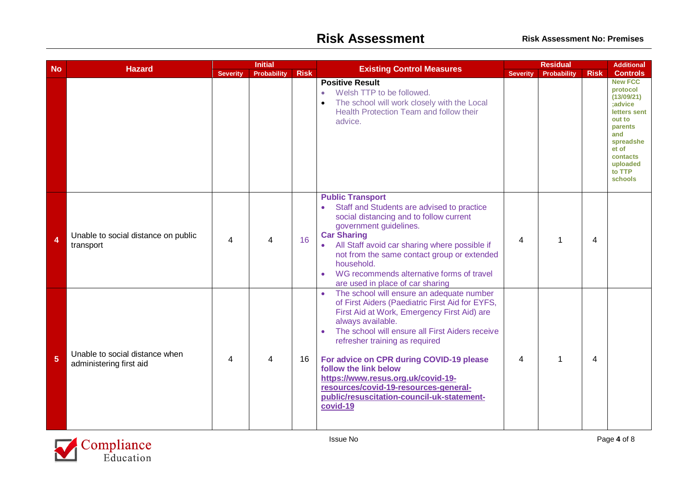|                         |                                                           |                 | <b>Initial</b>          |             |                                                                                                                                                                                                                                                                                                                                                                                                                                                                                               | <b>Residual</b> |             |                | <b>Additional</b>                                                                                                                                                         |
|-------------------------|-----------------------------------------------------------|-----------------|-------------------------|-------------|-----------------------------------------------------------------------------------------------------------------------------------------------------------------------------------------------------------------------------------------------------------------------------------------------------------------------------------------------------------------------------------------------------------------------------------------------------------------------------------------------|-----------------|-------------|----------------|---------------------------------------------------------------------------------------------------------------------------------------------------------------------------|
| <b>No</b>               | <b>Hazard</b>                                             | <b>Severity</b> | <b>Probability</b>      | <b>Risk</b> | <b>Existing Control Measures</b>                                                                                                                                                                                                                                                                                                                                                                                                                                                              | <b>Severity</b> | Probability | <b>Risk</b>    | <b>Controls</b>                                                                                                                                                           |
|                         |                                                           |                 |                         |             | <b>Positive Result</b><br>Welsh TTP to be followed.<br>$\bullet$<br>The school will work closely with the Local<br>Health Protection Team and follow their<br>advice.                                                                                                                                                                                                                                                                                                                         |                 |             |                | <b>New FCC</b><br>protocol<br>(13/09/21)<br>;advice<br>letters sent<br>out to<br>parents<br>and<br>spreadshe<br>et of<br>contacts<br>uploaded<br>to TTP<br><b>schools</b> |
| $\overline{\mathbf{A}}$ | Unable to social distance on public<br>transport          | 4               | $\overline{\mathbf{4}}$ | 16          | <b>Public Transport</b><br>Staff and Students are advised to practice<br>$\bullet$<br>social distancing and to follow current<br>government guidelines.<br><b>Car Sharing</b><br>• All Staff avoid car sharing where possible if<br>not from the same contact group or extended<br>household.<br>WG recommends alternative forms of travel<br>are used in place of car sharing                                                                                                                | 4               | 1           | $\overline{4}$ |                                                                                                                                                                           |
| 5                       | Unable to social distance when<br>administering first aid | 4               | 4                       | 16          | The school will ensure an adequate number<br>$\bullet$<br>of First Aiders (Paediatric First Aid for EYFS,<br>First Aid at Work, Emergency First Aid) are<br>always available.<br>The school will ensure all First Aiders receive<br>$\bullet$<br>refresher training as required<br>For advice on CPR during COVID-19 please<br>follow the link below<br>https://www.resus.org.uk/covid-19-<br>resources/covid-19-resources-general-<br>public/resuscitation-council-uk-statement-<br>covid-19 | 4               | 1           | $\overline{4}$ |                                                                                                                                                                           |

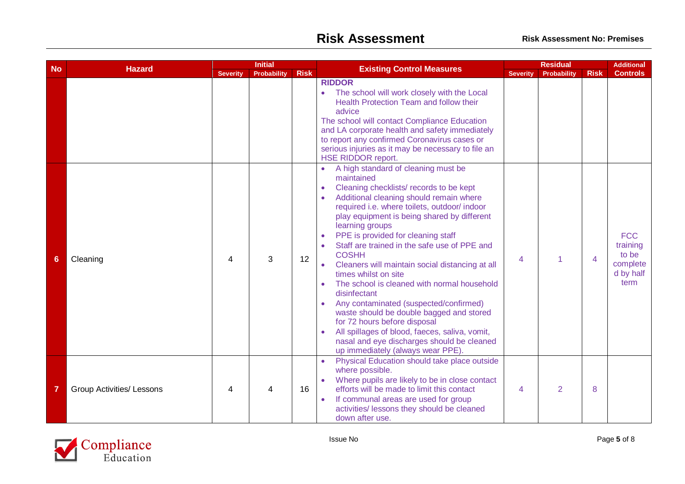|           | <b>Hazard</b>                    |                 | <b>Initial</b> |             |                                                                                                                                                                                                                                                                                                                                                                                                                                                                                                                                                                                                                                                                                                                                                                                                            | <b>Residual</b> |                    |                | <b>Additional</b>                                                |
|-----------|----------------------------------|-----------------|----------------|-------------|------------------------------------------------------------------------------------------------------------------------------------------------------------------------------------------------------------------------------------------------------------------------------------------------------------------------------------------------------------------------------------------------------------------------------------------------------------------------------------------------------------------------------------------------------------------------------------------------------------------------------------------------------------------------------------------------------------------------------------------------------------------------------------------------------------|-----------------|--------------------|----------------|------------------------------------------------------------------|
| <b>No</b> |                                  | <b>Severity</b> | Probability    | <b>Risk</b> | <b>Existing Control Measures</b>                                                                                                                                                                                                                                                                                                                                                                                                                                                                                                                                                                                                                                                                                                                                                                           | <b>Severity</b> | <b>Probability</b> | <b>Risk</b>    | <b>Controls</b>                                                  |
|           |                                  |                 |                |             | <b>RIDDOR</b><br>The school will work closely with the Local<br>$\bullet$<br>Health Protection Team and follow their<br>advice<br>The school will contact Compliance Education<br>and LA corporate health and safety immediately<br>to report any confirmed Coronavirus cases or<br>serious injuries as it may be necessary to file an<br><b>HSE RIDDOR report.</b>                                                                                                                                                                                                                                                                                                                                                                                                                                        |                 |                    |                |                                                                  |
| 6         | Cleaning                         | 4               | 3              | 12          | A high standard of cleaning must be<br>maintained<br>Cleaning checklists/ records to be kept<br>$\bullet$<br>Additional cleaning should remain where<br>$\bullet$<br>required i.e. where toilets, outdoor/indoor<br>play equipment is being shared by different<br>learning groups<br>PPE is provided for cleaning staff<br>Staff are trained in the safe use of PPE and<br><b>COSHH</b><br>Cleaners will maintain social distancing at all<br>$\bullet$<br>times whilst on site<br>The school is cleaned with normal household<br>disinfectant<br>Any contaminated (suspected/confirmed)<br>waste should be double bagged and stored<br>for 72 hours before disposal<br>All spillages of blood, faeces, saliva, vomit,<br>nasal and eye discharges should be cleaned<br>up immediately (always wear PPE). | 4               | 1                  | $\overline{4}$ | <b>FCC</b><br>training<br>to be<br>complete<br>d by half<br>term |
| 7         | <b>Group Activities/ Lessons</b> | 4               | 4              | 16          | Physical Education should take place outside<br>$\bullet$<br>where possible.<br>Where pupils are likely to be in close contact<br>efforts will be made to limit this contact<br>If communal areas are used for group<br>$\bullet$<br>activities/ lessons they should be cleaned<br>down after use.                                                                                                                                                                                                                                                                                                                                                                                                                                                                                                         | 4               | 2                  | 8              |                                                                  |

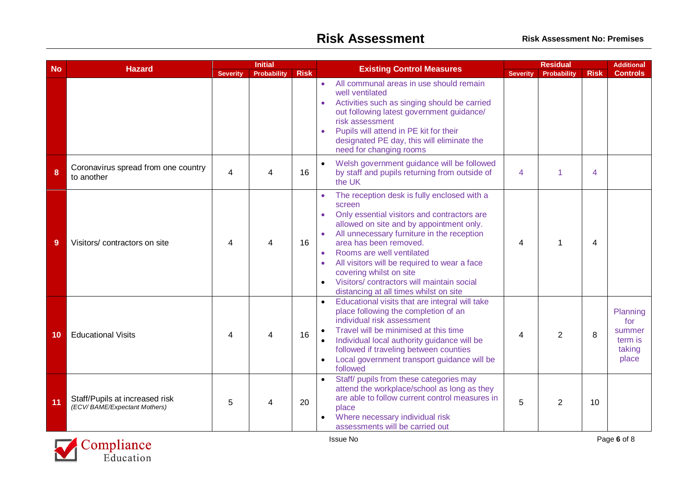|           |                                                                |                          | <b>Initial</b>     |             |                        |                                                                                                                                                                                                                                                                                                                                                                                                                          |                 | <b>Residual</b> |                |                                                         |
|-----------|----------------------------------------------------------------|--------------------------|--------------------|-------------|------------------------|--------------------------------------------------------------------------------------------------------------------------------------------------------------------------------------------------------------------------------------------------------------------------------------------------------------------------------------------------------------------------------------------------------------------------|-----------------|-----------------|----------------|---------------------------------------------------------|
| <b>No</b> | <b>Hazard</b>                                                  | <b>Severity</b>          | <b>Probability</b> | <b>Risk</b> |                        | <b>Existing Control Measures</b>                                                                                                                                                                                                                                                                                                                                                                                         | <b>Severity</b> | Probability     | <b>Risk</b>    | <b>Controls</b>                                         |
|           |                                                                |                          |                    |             | $\bullet$              | All communal areas in use should remain<br>well ventilated<br>Activities such as singing should be carried<br>out following latest government guidance/<br>risk assessment<br>Pupils will attend in PE kit for their<br>designated PE day, this will eliminate the<br>need for changing rooms                                                                                                                            |                 |                 |                |                                                         |
| 8         | Coronavirus spread from one country<br>to another              | $\overline{\mathcal{A}}$ | 4                  | 16          |                        | Welsh government guidance will be followed<br>by staff and pupils returning from outside of<br>the UK                                                                                                                                                                                                                                                                                                                    | 4               | 1               | 4              |                                                         |
| 9         | Visitors/contractors on site                                   | 4                        | 4                  | 16          | $\bullet$<br>$\bullet$ | The reception desk is fully enclosed with a<br>screen<br>Only essential visitors and contractors are<br>allowed on site and by appointment only.<br>All unnecessary furniture in the reception<br>area has been removed.<br>Rooms are well ventilated<br>All visitors will be required to wear a face<br>covering whilst on site<br>Visitors/ contractors will maintain social<br>distancing at all times whilst on site | 4               | 1               | $\overline{4}$ |                                                         |
| 10        | <b>Educational Visits</b>                                      | Δ                        | 4                  | 16          | $\bullet$              | Educational visits that are integral will take<br>place following the completion of an<br>individual risk assessment<br>Travel will be minimised at this time<br>Individual local authority guidance will be<br>followed if traveling between counties<br>Local government transport guidance will be<br>followed                                                                                                        | 4               | $\overline{2}$  | 8              | Planning<br>for<br>summer<br>term is<br>taking<br>place |
| 11        | Staff/Pupils at increased risk<br>(ECV/BAME/Expectant Mothers) | 5                        | 4                  | 20          | $\bullet$              | Staff/ pupils from these categories may<br>attend the workplace/school as long as they<br>are able to follow current control measures in<br>place<br>Where necessary individual risk<br>assessments will be carried out                                                                                                                                                                                                  | 5               | $\overline{2}$  | 10             |                                                         |

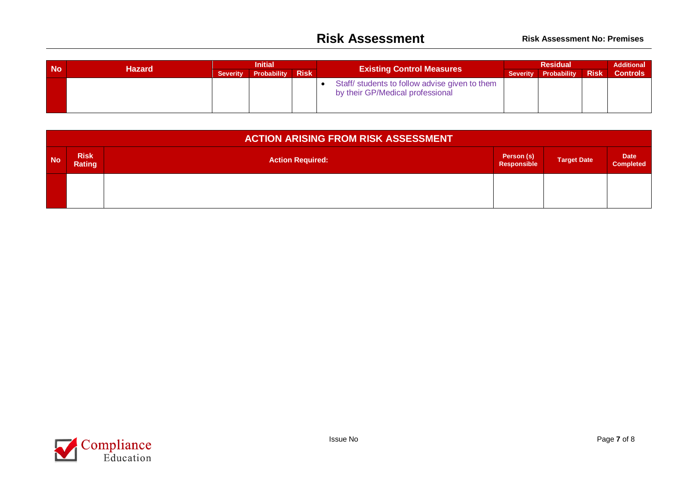| <b>No</b> | <b>Hazard</b> | <b>Initial</b> |                      |             | <b>Existing Control Measures</b>                                                   | <b>Residual</b> |                      |             | <b>Additional</b> |
|-----------|---------------|----------------|----------------------|-------------|------------------------------------------------------------------------------------|-----------------|----------------------|-------------|-------------------|
|           |               |                | Severity Probability | <b>Risk</b> |                                                                                    |                 | Severity Probability | <b>Risk</b> | <b>Controls</b>   |
|           |               |                |                      |             | Staff/ students to follow advise given to them<br>by their GP/Medical professional |                 |                      |             |                   |

|           | <b>ACTION ARISING FROM RISK ASSESSMENT</b> |                         |                           |                    |                          |  |  |  |  |  |  |  |
|-----------|--------------------------------------------|-------------------------|---------------------------|--------------------|--------------------------|--|--|--|--|--|--|--|
| <b>No</b> | <b>Risk</b><br>Rating                      | <b>Action Required:</b> | Person (s)<br>Responsible | <b>Target Date</b> | <b>Date</b><br>Completed |  |  |  |  |  |  |  |
|           |                                            |                         |                           |                    |                          |  |  |  |  |  |  |  |